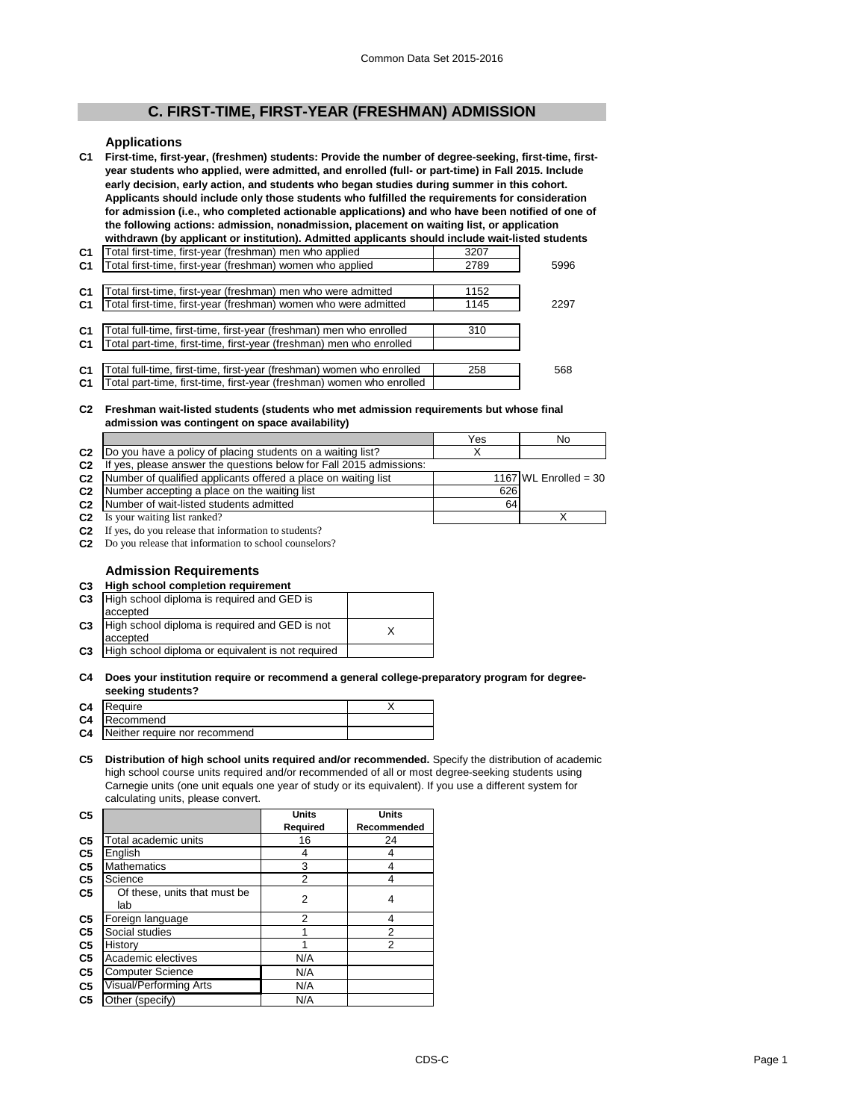# **C. FIRST-TIME, FIRST-YEAR (FRESHMAN) ADMISSION**

## **Applications**

**C1 First-time, first-year, (freshmen) students: Provide the number of degree-seeking, first-time, firstyear students who applied, were admitted, and enrolled (full- or part-time) in Fall 2015. Include early decision, early action, and students who began studies during summer in this cohort. Applicants should include only those students who fulfilled the requirements for consideration for admission (i.e., who completed actionable applications) and who have been notified of one of the following actions: admission, nonadmission, placement on waiting list, or application withdrawn (by applicant or institution). Admitted applicants should include wait-listed students** 

| C1             | otal first-time, first-year (freshman) men who applied                | 3207 |      |
|----------------|-----------------------------------------------------------------------|------|------|
| C <sub>1</sub> | Total first-time, first-year (freshman) women who applied             | 2789 | 5996 |
|                |                                                                       |      |      |
| C <sub>1</sub> | otal first-time, first-year (freshman) men who were admitted          | 1152 |      |
| C <sub>1</sub> | Total first-time, first-year (freshman) women who were admitted       | 1145 | 2297 |
|                |                                                                       |      |      |
| C <sub>1</sub> | Total full-time, first-time, first-year (freshman) men who enrolled   | 310  |      |
| C <sub>1</sub> | Total part-time, first-time, first-year (freshman) men who enrolled   |      |      |
|                |                                                                       |      |      |
| C <sub>1</sub> | otal full-time, first-time, first-year (freshman) women who enrolled  | 258  | 568  |
| C <sub>1</sub> | Total part-time, first-time, first-year (freshman) women who enrolled |      |      |
|                |                                                                       |      |      |

## **C2 Freshman wait-listed students (students who met admission requirements but whose final admission was contingent on space availability)**

|                |                                                                         | Yes | No                      |
|----------------|-------------------------------------------------------------------------|-----|-------------------------|
| C <sub>2</sub> | Do you have a policy of placing students on a waiting list?             |     |                         |
| C <sub>2</sub> | ves, please answer the questions below for Fall 2015 admissions:<br>-lf |     |                         |
|                | C2 Number of qualified applicants offered a place on waiting list       |     | 1167 WL Enrolled = $30$ |
| C <sub>2</sub> | Number accepting a place on the waiting list                            | 626 |                         |
|                | C <sub>2</sub> Number of wait-listed students admitted                  | 64  |                         |
| C <sub>2</sub> | Is your waiting list ranked?                                            |     |                         |

**C2** If yes, do you release that information to students? **C2** Do you release that information to school counselors?

# **Admission Requirements**

| C3             | High school completion requirement                |  |
|----------------|---------------------------------------------------|--|
| C <sub>3</sub> | High school diploma is required and GED is        |  |
|                | accepted                                          |  |
| C <sub>3</sub> | High school diploma is required and GED is not    |  |
|                | accepted                                          |  |
| C <sub>3</sub> | High school diploma or equivalent is not required |  |

#### **C4 Does your institution require or recommend a general college-preparatory program for degreeseeking students?**

| C4 Require<br><b>C4</b> Recommend<br>C4 Neither require nor recommend |
|-----------------------------------------------------------------------|

## **C5 Distribution of high school units required and/or recommended.** Specify the distribution of academic high school course units required and/or recommended of all or most degree-seeking students using Carnegie units (one unit equals one year of study or its equivalent). If you use a different system for calculating units, please convert.

| C <sub>5</sub> |                                     | <b>Units</b>   | <b>Units</b> |
|----------------|-------------------------------------|----------------|--------------|
|                |                                     | Required       | Recommended  |
| C <sub>5</sub> | Total academic units                | 16             | 24           |
| C <sub>5</sub> | English                             | 4              | 4            |
| C <sub>5</sub> | <b>Mathematics</b>                  | 3              | 4            |
| C <sub>5</sub> | Science                             | $\overline{2}$ | 4            |
| C5             | Of these, units that must be<br>lab | $\overline{2}$ | 4            |
| C <sub>5</sub> | Foreign language                    | 2              | 4            |
| C <sub>5</sub> | Social studies                      |                | 2            |
| C <sub>5</sub> | History                             |                | 2            |
| C <sub>5</sub> | Academic electives                  | N/A            |              |
| C <sub>5</sub> | <b>Computer Science</b>             | N/A            |              |
| C <sub>5</sub> | Visual/Performing Arts              | N/A            |              |
| C <sub>5</sub> | Other (specify)                     | N/A            |              |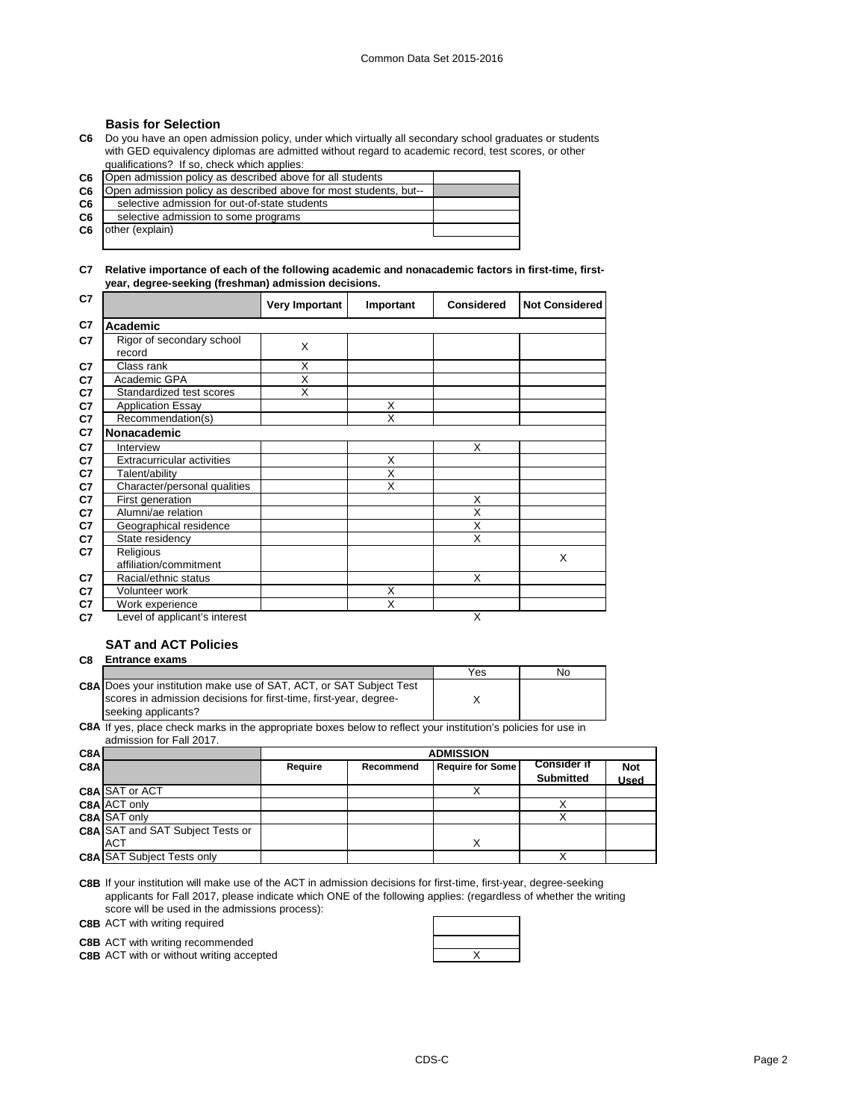## **Basis for Selection**

**C6** Do you have an open admission policy, under which virtually all secondary school graduates or students with GED equivalency diplomas are admitted without regard to academic record, test scores, or other qualifications? If so, check which applies:

| C6.            | [Open admission policy as described above for all students]       |  |
|----------------|-------------------------------------------------------------------|--|
| C <sub>6</sub> | Open admission policy as described above for most students, but-- |  |
| C6             | selective admission for out-of-state students                     |  |
| C6             | selective admission to some programs                              |  |
| C6             | other (explain)                                                   |  |
|                |                                                                   |  |

## **C7 Relative importance of each of the following academic and nonacademic factors in first-time, firstyear, degree-seeking (freshman) admission decisions.**

| C7 |                                     | <b>Very Important</b> | Important               | <b>Considered</b>       | <b>Not Considered</b> |
|----|-------------------------------------|-----------------------|-------------------------|-------------------------|-----------------------|
| C7 | Academic                            |                       |                         |                         |                       |
| C7 | Rigor of secondary school<br>record | X                     |                         |                         |                       |
| C7 | Class rank                          | X                     |                         |                         |                       |
| C7 | Academic GPA                        | X                     |                         |                         |                       |
| C7 | Standardized test scores            | X                     |                         |                         |                       |
| C7 | <b>Application Essay</b>            |                       | X                       |                         |                       |
| C7 | Recommendation(s)                   |                       | $\overline{\mathsf{x}}$ |                         |                       |
| C7 | <b>Nonacademic</b>                  |                       |                         |                         |                       |
| C7 | Interview                           |                       |                         | X                       |                       |
| C7 | Extracurricular activities          |                       | X                       |                         |                       |
| C7 | Talent/ability                      |                       | X                       |                         |                       |
| C7 | Character/personal qualities        |                       | X                       |                         |                       |
| C7 | First generation                    |                       |                         | X                       |                       |
| C7 | Alumni/ae relation                  |                       |                         | $\overline{\mathsf{x}}$ |                       |
| C7 | Geographical residence              |                       |                         | X                       |                       |
| C7 | State residency                     |                       |                         | $\overline{\mathsf{x}}$ |                       |
| C7 | Religious                           |                       |                         |                         | X                     |
|    | affiliation/commitment              |                       |                         |                         |                       |
| C7 | Racial/ethnic status                |                       |                         | X                       |                       |
| C7 | Volunteer work                      |                       | X                       |                         |                       |
| C7 | Work experience                     |                       | X                       |                         |                       |
| C7 | Level of applicant's interest       |                       |                         | X                       |                       |

# **SAT and ACT Policies**

| C8 | <b>Entrance exams</b> |
|----|-----------------------|
|    |                       |

|                                                                            | Yes | Nο |
|----------------------------------------------------------------------------|-----|----|
| <b>C8A Does your institution make use of SAT, ACT, or SAT Subject Test</b> |     |    |
| scores in admission decisions for first-time, first-year, degree-          |     |    |
| seeking applicants?                                                        |     |    |

**C8A** If yes, place check marks in the appropriate boxes below to reflect your institution's policies for use in admission for Fall 2017.

| C8A |                                         |         | <b>ADMISSION</b> |                         |                                        |                           |
|-----|-----------------------------------------|---------|------------------|-------------------------|----------------------------------------|---------------------------|
| C8A |                                         | Require | Recommend        | <b>Require for Some</b> | <b>Consider if</b><br><b>Submitted</b> | <b>Not</b><br><b>Used</b> |
|     | <b>C8A SAT or ACT</b>                   |         |                  |                         |                                        |                           |
|     | C8A ACT only                            |         |                  |                         |                                        |                           |
|     | <b>C8A SAT only</b>                     |         |                  |                         |                                        |                           |
|     | <b>C8A SAT and SAT Subject Tests or</b> |         |                  |                         |                                        |                           |
|     | <b>ACT</b>                              |         |                  | Χ                       |                                        |                           |
|     | <b>C8A SAT Subject Tests only</b>       |         |                  |                         |                                        |                           |

**C8B** If your institution will make use of the ACT in admission decisions for first-time, first-year, degree-seeking applicants for Fall 2017, please indicate which ONE of the following applies: (regardless of whether the writing score will be used in the admissions process):

**C8B** ACT with writing required

**C8B** ACT with writing recommended

**C8B** ACT with or without writing accepted **ACT ACCES ACT ACCES ACCES ACCES ACCES ACCES ACCES ACCES ACCES ACCES ACCES ACCES ACCES ACCES ACCES ACCES ACCES ACCES ACCES ACCES ACCES** 

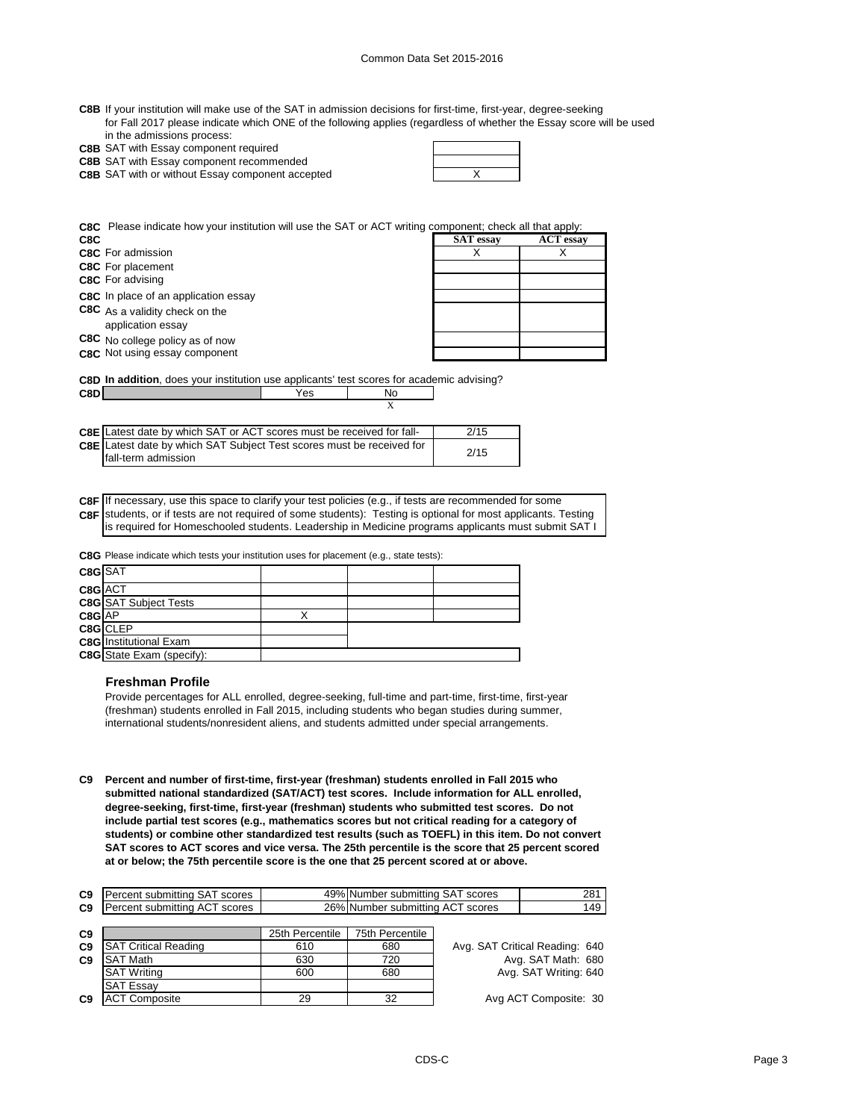| C8B If your institution will make use of the SAT in admission decisions for first-time, first-year, degree-seeking   |
|----------------------------------------------------------------------------------------------------------------------|
| for Fall 2017 please indicate which ONE of the following applies (regardless of whether the Essay score will be used |
| in the admissions process:                                                                                           |

| <b>C8B</b> SAT with Essay component required |
|----------------------------------------------|

**C8B** SAT with Essay component recommended

**C8B** X SAT with or without Essay component accepted

**C8C** Please indicate how your institution will use the SAT or ACT writing component; check all that apply:

| C8C                                                 | <b>SAT</b> essay | <b>ACT</b> essay |
|-----------------------------------------------------|------------------|------------------|
| <b>C8C</b> For admission                            |                  |                  |
| <b>C8C</b> For placement                            |                  |                  |
| <b>C8C</b> For advising                             |                  |                  |
| C8C In place of an application essay                |                  |                  |
| C8C As a validity check on the<br>application essay |                  |                  |
| C8C No college policy as of now                     |                  |                  |
| C8C Not using essay component                       |                  |                  |

X

**C8D In addition**, does your institution use applicants' test scores for academic advising? **C8D** No

| <b>C8E</b> Latest date by which SAT or ACT scores must be received for fall-                         | 2/15 |
|------------------------------------------------------------------------------------------------------|------|
| <b>C8E</b> Latest date by which SAT Subject Test scores must be received for<br>Ifall-term admission | 2/15 |
|                                                                                                      |      |

**C8F** If necessary, use this space to clarify your test policies (e.g., if tests are recommended for some **C8F** students, or if tests are not required of some students): Testing is optional for most applicants. Testing is required for Homeschooled students. Leadership in Medicine programs applicants must submit SAT I

**C8G** Please indicate which tests your institution uses for placement (e.g., state tests):

| C8G SAT |                                  |  |  |
|---------|----------------------------------|--|--|
| C8G ACT |                                  |  |  |
|         | <b>C8G</b> SAT Subject Tests     |  |  |
| C8G AP  |                                  |  |  |
|         | C8G CLEP                         |  |  |
|         | <b>C8G</b> Institutional Exam    |  |  |
|         | <b>C8G</b> State Exam (specify): |  |  |
|         |                                  |  |  |

## **Freshman Profile**

Provide percentages for ALL enrolled, degree-seeking, full-time and part-time, first-time, first-year (freshman) students enrolled in Fall 2015, including students who began studies during summer, international students/nonresident aliens, and students admitted under special arrangements.

**C9 Percent and number of first-time, first-year (freshman) students enrolled in Fall 2015 who submitted national standardized (SAT/ACT) test scores. Include information for ALL enrolled, degree-seeking, first-time, first-year (freshman) students who submitted test scores. Do not include partial test scores (e.g., mathematics scores but not critical reading for a category of students) or combine other standardized test results (such as TOEFL) in this item. Do not convert SAT scores to ACT scores and vice versa. The 25th percentile is the score that 25 percent scored at or below; the 75th percentile score is the one that 25 percent scored at or above.**

| C <sub>9</sub> | Percent submitting SAT scores | 49% Number submitting SAT scores | 281 |
|----------------|-------------------------------|----------------------------------|-----|
| C <sub>9</sub> | Percent submitting ACT scores | 26% Number submitting ACT scores | 149 |

| C9             |                             | 25th Percentile | 75th Percentile |
|----------------|-----------------------------|-----------------|-----------------|
| C <sub>9</sub> | <b>SAT Critical Reading</b> | 610             | 680             |
| C <sub>9</sub> | <b>SAT Math</b>             | 630             | 720             |
|                | <b>SAT Writing</b>          | 600             | 680             |
|                | <b>SAT Essay</b>            |                 |                 |
| C <sub>9</sub> | <b>ACT Composite</b>        | 29              | 32              |

Avg. SAT Critical Reading: 640 Avg. SAT Math: 680 Avg. SAT Writing: 640

Avg ACT Composite: 30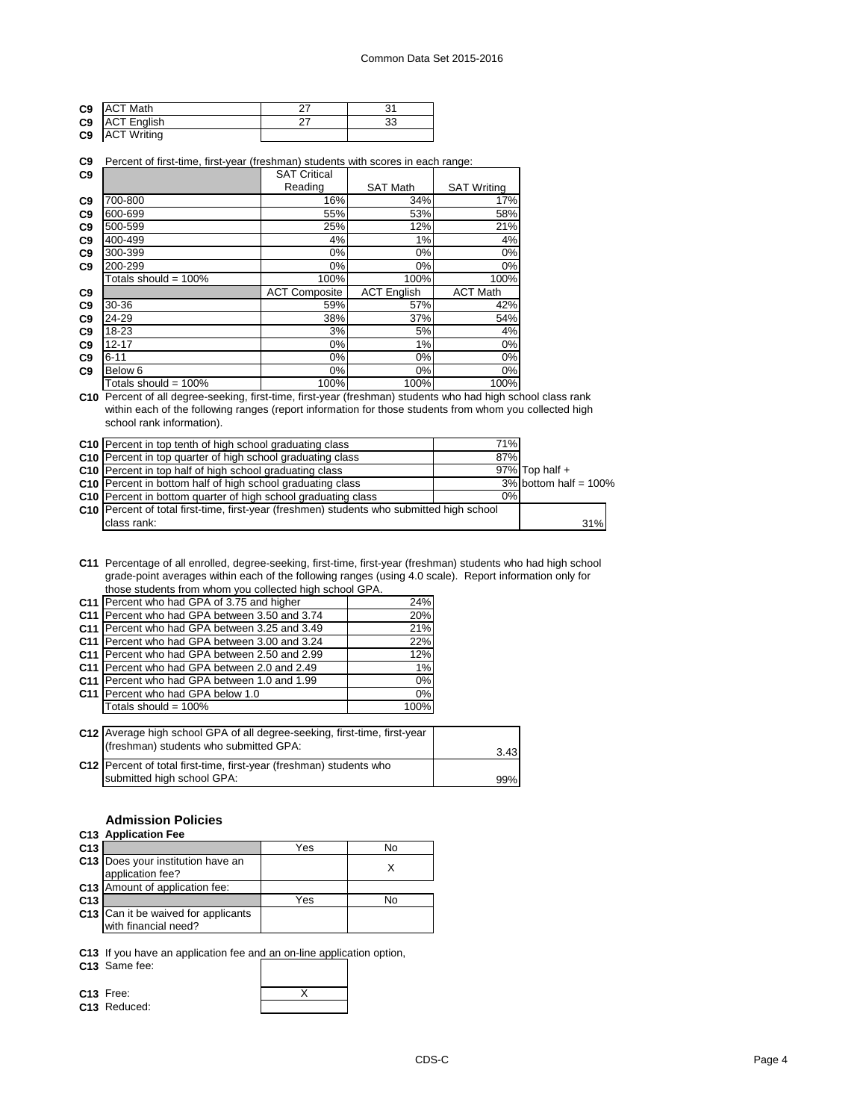| C <sub>9</sub> | <b>ACT Math</b>       |  |
|----------------|-----------------------|--|
|                | C9 ACT English        |  |
|                | <b>C9</b> ACT Writing |  |

## **C9** Percent of first-time, first-year (freshman) students with scores in each range:

| C <sub>9</sub> |                         | <b>SAT Critical</b>  |                    |                    |  |
|----------------|-------------------------|----------------------|--------------------|--------------------|--|
|                |                         | Reading              | <b>SAT Math</b>    | <b>SAT Writing</b> |  |
| C <sub>9</sub> | 700-800                 | 16%                  | 34%                | 17%                |  |
| C <sub>9</sub> | 600-699                 | 55%                  | 53%                | 58%                |  |
| C <sub>9</sub> | 500-599                 | 25%                  | 12%                | 21%                |  |
| C <sub>9</sub> | 400-499                 | 4%                   | 1%                 | 4%                 |  |
| C <sub>9</sub> | 300-399                 | 0%                   | 0%                 | 0%                 |  |
| C <sub>9</sub> | 200-299                 | 0%                   | 0%                 | 0%                 |  |
|                | Totals should = 100%    | 100%                 | 100%               | 100%               |  |
| C <sub>9</sub> |                         | <b>ACT Composite</b> | <b>ACT English</b> | <b>ACT Math</b>    |  |
| C9             | 30-36                   | 59%                  | 57%                | 42%                |  |
| C <sub>9</sub> | 24-29                   | 38%                  | 37%                | 54%                |  |
| C <sub>9</sub> | 18-23                   | 3%                   | 5%                 | 4%                 |  |
| C <sub>9</sub> | $12 - 17$               | 0%                   | 1%                 | 0%                 |  |
| C <sub>9</sub> | $6 - 11$                | 0%                   | 0%                 | 0%                 |  |
| C <sub>9</sub> | Below 6                 | 0%                   | 0%                 | 0%                 |  |
|                | Totals should = $100\%$ | 100%                 | 100%               | 100%               |  |

**C10** Percent of all degree-seeking, first-time, first-year (freshman) students who had high school class rank within each of the following ranges (report information for those students from whom you collected high school rank information).

| C10 Percent in top tenth of high school graduating class                                  | 71% |                          |
|-------------------------------------------------------------------------------------------|-----|--------------------------|
| <b>C10</b> Percent in top quarter of high school graduating class                         | 87% |                          |
| C10 Percent in top half of high school graduating class                                   |     | $97\%$ Top half +        |
| C10 Percent in bottom half of high school graduating class                                |     | $3\%$ bottom half = 100% |
| C10 Percent in bottom quarter of high school graduating class                             | 0%  |                          |
| C10 Percent of total first-time, first-year (freshmen) students who submitted high school |     |                          |
| class rank:                                                                               |     | 31%                      |

**C11** Percentage of all enrolled, degree-seeking, first-time, first-year (freshman) students who had high school grade-point averages within each of the following ranges (using 4.0 scale). Report information only for those students from whom you collected high school GPA.

| C11   Percent who had GPA of 3.75 and higher  | 24%  |
|-----------------------------------------------|------|
| C11 Percent who had GPA between 3.50 and 3.74 | 20%  |
| C11 Percent who had GPA between 3.25 and 3.49 | 21%  |
| C11 Percent who had GPA between 3.00 and 3.24 | 22%  |
| C11 Percent who had GPA between 2.50 and 2.99 | 12%  |
| C11 Percent who had GPA between 2.0 and 2.49  | 1%   |
| C11 Percent who had GPA between 1.0 and 1.99  | 0%   |
| C11 Percent who had GPA below 1.0             | 0%   |
| Totals should = 100%                          | 100% |
|                                               |      |

| C12 Average high school GPA of all degree-seeking, first-time, first-year |      |
|---------------------------------------------------------------------------|------|
| (freshman) students who submitted GPA:                                    | 3.43 |
| C12 Percent of total first-time, first-year (freshman) students who       |      |
| submitted high school GPA:                                                | 99%  |

# **Admission Policies**

| C13 Application Fee |  |
|---------------------|--|
|                     |  |

|                 | .                                                           |     |    |
|-----------------|-------------------------------------------------------------|-----|----|
| C <sub>13</sub> |                                                             | Yes | N٥ |
|                 | C13 Does your institution have an<br>application fee?       |     |    |
|                 | C13 Amount of application fee:                              |     |    |
| C <sub>13</sub> |                                                             | Yes | No |
|                 | C13 Can it be waived for applicants<br>with financial need? |     |    |
|                 |                                                             |     |    |

**C13** If you have an application fee and an on-line application option,

**C13** Same fee:

**C13** Reduced:

**C13** Free: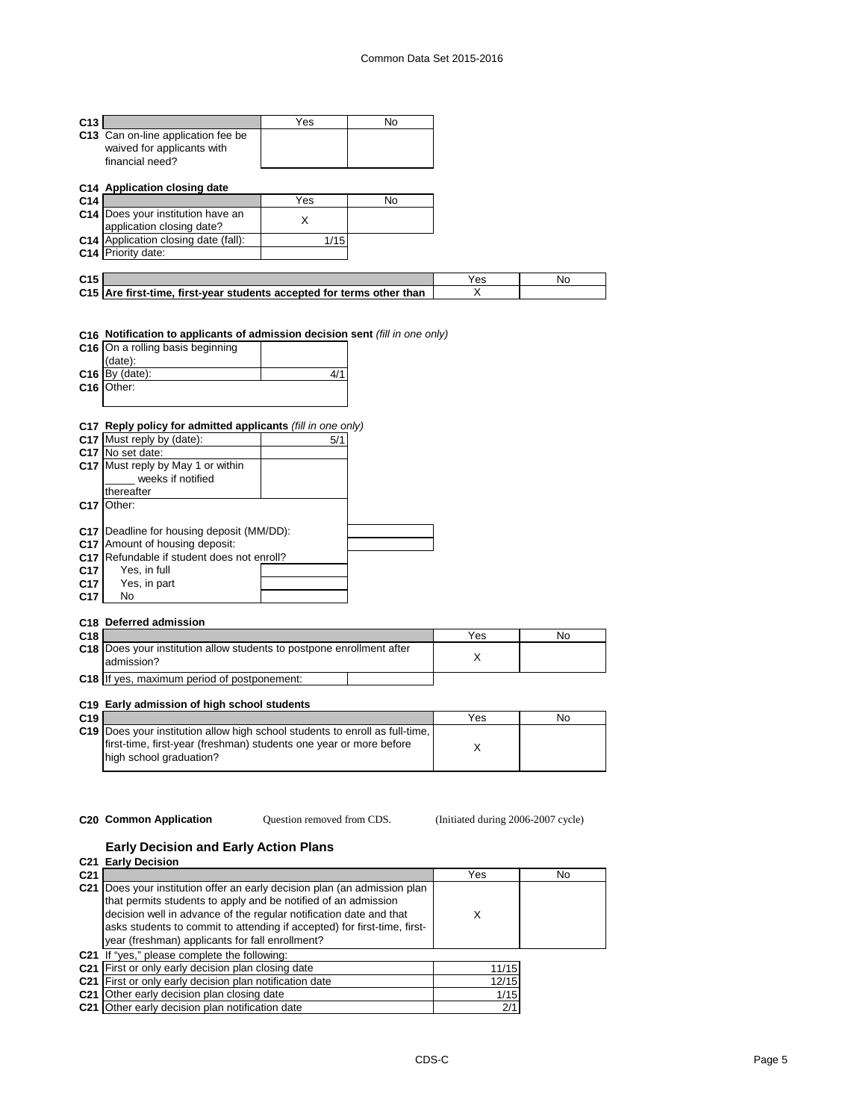| C <sub>13</sub> |                                                                              | Yes  | <b>No</b> |     |     |
|-----------------|------------------------------------------------------------------------------|------|-----------|-----|-----|
|                 | C13 Can on-line application fee be                                           |      |           |     |     |
|                 | waived for applicants with                                                   |      |           |     |     |
|                 | financial need?                                                              |      |           |     |     |
|                 |                                                                              |      |           |     |     |
|                 | C14 Application closing date                                                 |      |           |     |     |
| C <sub>14</sub> |                                                                              | Yes  | No.       |     |     |
|                 | C14 Does your institution have an                                            |      |           |     |     |
|                 | application closing date?                                                    | X    |           |     |     |
|                 | <b>C14</b> Application closing date (fall):                                  | 1/15 |           |     |     |
|                 | C14 Priority date:                                                           |      |           |     |     |
|                 |                                                                              |      |           |     |     |
|                 |                                                                              |      |           |     |     |
| C <sub>15</sub> |                                                                              |      |           | Yes | No. |
|                 | C15 Are first-time, first-year students accepted for terms other than        |      |           | X   |     |
|                 |                                                                              |      |           |     |     |
|                 |                                                                              |      |           |     |     |
|                 |                                                                              |      |           |     |     |
|                 | C16 Notification to applicants of admission decision sent (fill in one only) |      |           |     |     |
|                 | C16 On a rolling basis beginning                                             |      |           |     |     |
|                 | (date):                                                                      |      |           |     |     |
|                 | $C16$ By (date):                                                             | 4/1  |           |     |     |
| C16             | Other:                                                                       |      |           |     |     |
|                 |                                                                              |      |           |     |     |

## **C17 Reply policy for admitted applicants** *(fill in one only)*

|                 | <b>C17</b> Must reply by (date):                 | 5/1 |  |
|-----------------|--------------------------------------------------|-----|--|
| C <sub>17</sub> | No set date:                                     |     |  |
|                 | <b>C17</b> Must reply by May 1 or within         |     |  |
|                 | weeks if notified                                |     |  |
|                 | thereafter                                       |     |  |
| C <sub>17</sub> | Other:                                           |     |  |
|                 |                                                  |     |  |
|                 | <b>C17</b> Deadline for housing deposit (MM/DD): |     |  |
| C <sub>17</sub> | Amount of housing deposit:                       |     |  |
| C <sub>17</sub> | Refundable if student does not enroll?           |     |  |
| C <sub>17</sub> | Yes, in full                                     |     |  |
| C <sub>17</sub> | Yes, in part                                     |     |  |
| C <sub>17</sub> | No                                               |     |  |
|                 |                                                  |     |  |

## **C18 Deferred admission**

| C <sub>18</sub> |                                                                                            | Yes | No |
|-----------------|--------------------------------------------------------------------------------------------|-----|----|
|                 | <b>C18</b> Does your institution allow students to postpone enrollment after<br>admission? |     |    |
|                 | <b>C18</b> If yes, maximum period of postponement:                                         |     |    |

# **C19 Early admission of high school students**

| C <sub>19</sub> |                                                                                     | Yes | No |
|-----------------|-------------------------------------------------------------------------------------|-----|----|
|                 | <b>C19</b> Does your institution allow high school students to enroll as full-time. |     |    |
|                 | first-time, first-year (freshman) students one year or more before                  |     |    |
|                 | high school graduation?                                                             |     |    |
|                 |                                                                                     |     |    |

Question removed from CDS.

**C20 Common Application Question removed from CDS.** (Initiated during 2006-2007 cycle)

# **Early Decision and Early Action Plans**

|                 | C <sub>21</sub> Early Decision                                                                                                                                                                                                                                                                                                                     |       |     |
|-----------------|----------------------------------------------------------------------------------------------------------------------------------------------------------------------------------------------------------------------------------------------------------------------------------------------------------------------------------------------------|-------|-----|
| C <sub>21</sub> |                                                                                                                                                                                                                                                                                                                                                    | Yes   | No. |
|                 | C21   Does your institution offer an early decision plan (an admission plan<br>that permits students to apply and be notified of an admission<br>decision well in advance of the regular notification date and that<br>asks students to commit to attending if accepted) for first-time, first-<br>year (freshman) applicants for fall enrollment? |       |     |
|                 | C21 If "yes," please complete the following:                                                                                                                                                                                                                                                                                                       |       |     |
|                 | C21 First or only early decision plan closing date                                                                                                                                                                                                                                                                                                 | 11/15 |     |
|                 | C <sub>21</sub> First or only early decision plan notification date                                                                                                                                                                                                                                                                                | 12/15 |     |
|                 | C <sub>21</sub> Other early decision plan closing date                                                                                                                                                                                                                                                                                             | 1/15  |     |
|                 | C <sub>21</sub> Other early decision plan notification date                                                                                                                                                                                                                                                                                        | 2/1   |     |